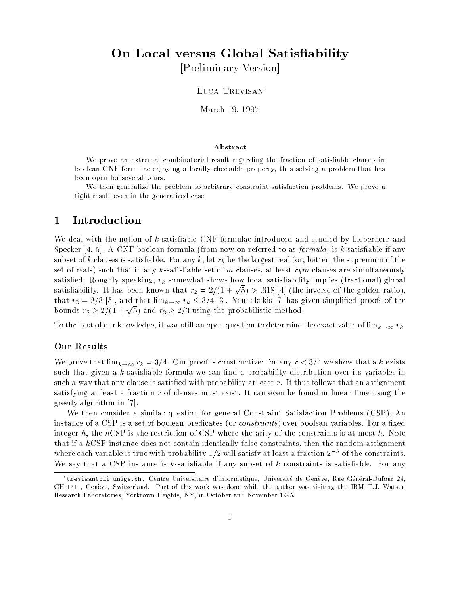# On Local versus Global Satisfiability [Preliminary Version]

LUCA TREVISAN\*

March 19, 1997

#### Abstract

We prove an extremal combinatorial result regarding the fraction of satisfiable clauses in boolean CNF formulae enjoying a locally checkable property, thus solving a problem that has been open for several years.

We then generalize the problem to arbitrary constraint satisfaction problems. We prove <sup>a</sup> tight result even in the generalized case.

# <sup>1</sup> Introduction

We deal with the notion of k-satisfiable CNF formulae introduced and studied by Lieberherr and Specker  $[4, 5]$ . A CNF boolean formula (from now on referred to as *formula*) is k-satisfiable if any subset of k clauses is satisfiable. For any k, let  $r_k$  be the largest real (or, better, the supremum of the set of reals) such that in any k-satisfiable set of m clauses, at least  $r_k m$  clauses are simultaneously satisfied. Roughly speaking,  $r_k$  somewhat shows how local satisfiability implies (fractional) global satisfiability. It has been known that  $r_2 = 2/(1 + \sqrt{5}) > .618$  [4] (the inverse of the golden ratio), that  $r_3 = 2/3$  [5], and that  $\lim_{k\to\infty} r_k \leq 3/4$  [3]. Yannakakis [7] has given simplified proofs of the bounds  $r_2 \geq 2/(1 + \sqrt{5})$  and  $r_3 \geq 2/3$  using the probabilistic method.

To the best of our knowledge, it was still an open question to determine the exact value of  $\lim_{k\to\infty} r_k$ .

### Our Results

We prove that  $\lim_{k\to\infty} r_k = 3/4$ . Our proof is constructive: for any  $r < 3/4$  we show that a k exists such that given a  $k$ -satisfiable formula we can find a probability distribution over its variables in such a way that any clause is satisfied with probability at least  $r$ . It thus follows that an assignment satisfying at least a fraction  $r$  of clauses must exist. It can even be found in linear time using the greedy algorithm in [7].

We then consider a similar question for general Constraint Satisfaction Problems (CSP). An instance of a CSP is a set of boolean predicates (or *constraints*) over boolean variables. For a fixed integer h, the hCSP is the restriction of CSP where the arity of the constraints is at most h. Note that if a  $hCSP$  instance does not contain identically false constraints, then the random assignment where each variable is true with probability  $1/2$  will satisfy at least a fraction  $2\pm0$ f the constraints. We say that a CSP instance is k-satisfiable if any subset of  $k$  constraints is satisfiable. For any

trevisan@cui.unige.ch. Centre Universitaire <sup>d</sup>'Informatique, Universite de Geneve, Rue General-Dufour 24, CH-1211, Genève, Switzerland. Part of this work was done while the author was visiting the IBM T.J. Watson Research Laboratories, Yorktown Heights, NY, in October and November 1995.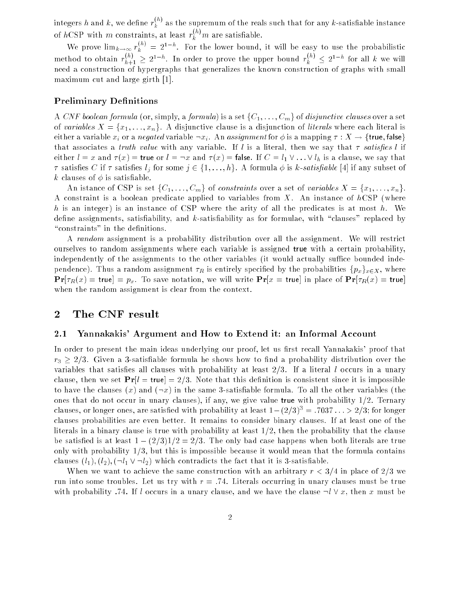integers  $h$  and  $k,$  we define  $r_k^{\infty}$  as the supremum of the reals such that for any  $k$ -satisfiable instance of hCSP with  $m$  constraints, at least  $r_k^{\leftrightarrow}m$  are satisfiable.

We prove  $\lim_{k\to\infty} r_k^{n-j} = 2^{1-n}$ . For the lower bound, it will be easy to use the probabilistic method to obtain  $r_{h+1}^{(n)} \geq 2^{1-n}$ . In order to prove the upper bound  $r_k^{(n)} \leq 2^{1-n}$  for all k we will need a construction of hypergraphs that generalizes the known construction of graphs with small maximum cut and large girth [1].

### **Preliminary Definitions**

A CNF boolean formula (or, simply, a formula) is a set  $\{C_1, \ldots, C_m\}$  of disjunctive clauses over a set of variables  $X = \{x_1, \ldots, x_n\}$ . A disjunctive clause is a disjunction of literals where each literal is either a variable  $x_i$  or a negated variable  $-x_i$ . An assignment for  $\phi$  is a mapping  $\tau : X \to \{\text{true}, \text{false}\}\$ that associates a *truth value* with any variable. If l is a literal, then we say that  $\tau$  satisfies l if either  $l = x$  and  $\tau(x) =$  true or  $l = \neg x$  and  $\tau(x) =$  false. If  $C = l_1 \vee \ldots \vee l_h$  is a clause, we say that satises <sup>C</sup> if satises <sup>l</sup> <sup>j</sup> for some <sup>j</sup> 2 f1; : : : ; hg. A formula is k-satisable [4] if any subset of k clauses of  $\phi$  is satisfiable.

An istance of CSP is set  $\{C_1,\ldots,C_m\}$  of constraints over a set of variables  $X = \{x_1,\ldots,x_n\}$ . A constraint is a boolean predicate applied to variables from X. An instance of  $hCSP$  (where h is an integer) is an instance of CSP where the arity of all the predicates is at most h. We define assignments, satisfiability, and k-satisfiability as for formulae, with "clauses" replaced by "constraints" in the definitions.

A random assignment is a probability distribution over all the assignment. We will restrict ourselves to random assignments where each variable is assigned true with a certain probability, independently of the assignments to the other variables (it would actually suffice bounded independence). Thus a random assignment  $\tau_R$  is entirely specified by the probabilities  $\{p_x\}_{x\in X}$ , where  $\Pr[\tau_R(x) = \text{true}] = p_x$ . To save notation, we will write  $\Pr[x = \text{true}]$  in place of  $\Pr[\tau_R(x) = \text{true}]$ when the random assignment is clear from the context.

### <sup>2</sup> The CNF result

#### 2.1 Yannakakis' Argument and How to Extend it: an Informal Account

In order to present the main ideas underlying our proof, let us first recall Yannakakis' proof that  $r_3 \geq 2/3$ . Given a 3-satisfiable formula he shows how to find a probability distribution over the variables that satisfies all clauses with probability at least  $2/3$ . If a literal l occurs in a unary clause, then we set  $Pr[l = true] = 2/3$ . Note that this definition is consistent since it is impossible to have the clauses (x) and  $(-x)$  in the same 3-satisfiable formula. To all the other variables (the ones that do not occur in unary clauses), if any, we give value true with probability  $1/2$ . Ternary clauses, or longer ones, are satisfied with probability at least  $1-(2/3)^3 = .7037... > 2/3$ ; for longer clauses probabilities are even better. It remains to consider binary clauses. If at least one of the literals in a binary clause is true with probability at least 1/2, then the probability that the clause be satisfied is at least  $1 - (2/3)1/2 = 2/3$ . The only bad case happens when both literals are true only with probability  $1/3$ , but this is impossible because it would mean that the formula contains clauses  $(l_1), (l_2), (\neg l_1 \vee \neg l_2)$  which contradicts the fact that it is 3-satisfiable.

When we want to achieve the same construction with an arbitrary  $r < 3/4$  in place of 2/3 we run into some troubles. Let us try with  $r = .74$ . Literals occurring in unary clauses must be true with probability :74. If l occurs in a unary clause, and we have the clause  $-l \vee x$ , then x must be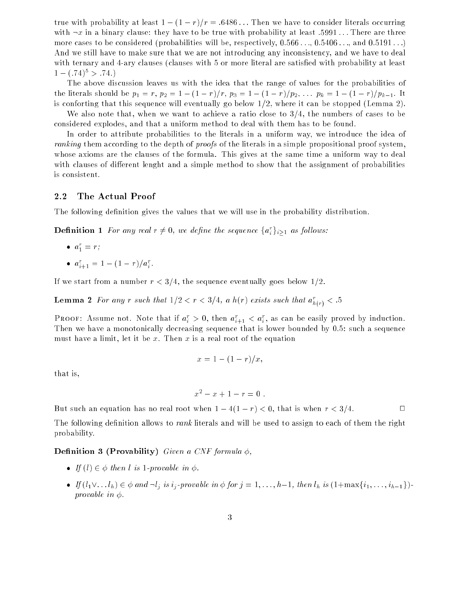true with probability at least  $1 - (1 - r)/r = .6486...$  Then we have to consider literals occurring with  $-x$  in a binary clause: they have to be true with probability at least :5991... There are three more cases to be considered (probabilities will be, respectively,  $0.566 \ldots 0.5406 \ldots$  and  $0.5191 \ldots$ ) And we still have to make sure that we are not introducing any inconsistency, and we have to deal with ternary and 4-ary clauses (clauses with 5 or more literal are satisfied with probability at least  $1 - (.74)^5 > .74.$ 

The above discussion leaves us with the idea that the range of values for the probabilities of the literals should be  $p_1 = r$ ,  $p_2 = 1 - (1 - r)/r$ ,  $p_3 = 1 - (1 - r)/p_2$ ,  $\ldots$   $p_k = 1 - (1 - r)/p_{k-1}$ . It is conforting that this sequence will eventually go below 1/2, where it can be stopped (Lemma 2).

We also note that, when we want to achieve a ratio close to 3/4, the numbers of cases to be considered explodes, and that a uniform method to deal with them has to be found.

In order to attribute probabilities to the literals in a uniform way, we introduce the idea of ranking them according to the depth of *proofs* of the literals in a simple propositional proof system, whose axioms are the clauses of the formula. This gives at the same time a uniform way to deal with clauses of different lenght and a simple method to show that the assignment of probabilities is consistent.

#### 2.2 The Actual Proof

The following definition gives the values that we will use in the probability distribution.

**Definition** 1 For any real  $r \neq 0$ , we define the sequence  $\{a_i\}_{i>1}$  as follows:

\n- $$
a_1^r = r
$$
;
\n- $a_{i+1}^r = 1 - (1 - r)/a_i^r$ .
\n

If we start from a number  $r < 3/4$ , the sequence eventually goes below  $1/2$ .

**Lemma 2** For any r such that  $1/2 < r < 3/4$ , a h(r) exists such that  $a_{h(r)} < .5$ 

**PROOF:** Assume not. Note that if  $a_i > 0$ , then  $a_{i+1} < a_i$ , as can be easily proved by induction. Then we have a monotonically decreasing sequence that is lower bounded by 0.5: such a sequence must have a limit, let it be x. Then x is a real root of the equation

$$
x = 1 - (1 - r)/x,
$$

that is,

$$
x^2 - x + 1 - r = 0.
$$

But such an equation has no real root when  $1 - 4(1 - r) < 0$ , that is when  $r < 3/4$ .

The following definition allows to *rank* literals and will be used to assign to each of them the right probability.

#### Definition 3 (Provability) Given a CNF formula  $\phi$ ,

- If  $(l) \in \phi$  then l is 1-provable in  $\phi$ .
- If  $\mathcal{I}:=\{i: j\in\mathbb{N}: j\in\mathbb{N}: j\in\mathbb{N}: j\in\mathbb{N}: j\in\mathbb{N}: j\in\mathbb{N}: j\in\mathbb{N}: j\in\mathbb{N}: j\in\mathbb{N}: j\in\mathbb{N}: j\in\mathbb{N}: j\in\mathbb{N}: j\in\mathbb{N}: j\in\mathbb{N}: j\in\mathbb{N}: j\in\mathbb{N}: j\in\mathbb{N}: j\in\mathbb{N}: j\in\mathbb{N}: j\in\mathbb{N}: j\in\mathbb{N}: j\in\mathbb{N}: j\in\mathbb{N$ provable in  $\phi$ .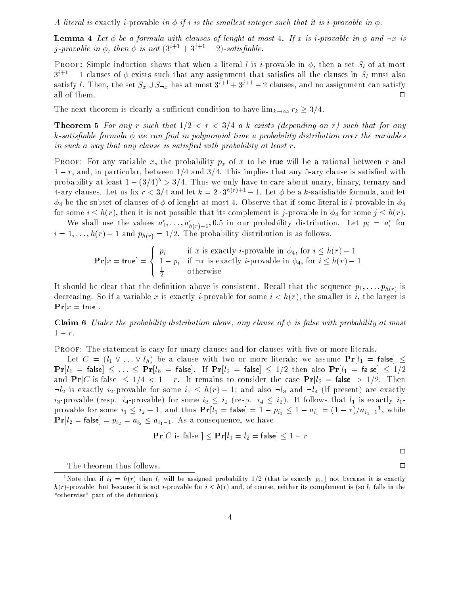A literal is exactly i-provable in  $\phi$  if i is the smallest integer such that it is i-provable in  $\phi$ .

**Lemma 4** Let  $\phi$  be a formula with clauses of lenght at most 4. If x is *i*-provable in  $\phi$  and  $\neg x$  is *j*-provable in  $\phi$ , then  $\phi$  is not  $(3^{i+1} + 3^{j+1} - 2)$ -satisfiable.

**PROOF:** Simple induction shows that when a literal l is i-provable in  $\phi$ , then a set  $S_l$  of at most  $3^{i+1}$  – 1 clauses of  $\phi$  exists such that any assignment that satisfies all the clauses in  $S_l$  must also satisfy l. Then, the set  $S_x \cup S_{\neg x}$  has at most  $3^{i+1} + 3^{j+1} - 2$  clauses, and no assignment can satisfy all of them.  $\Box$ 

The next theorem is clearly a sufficient condition to have  $\lim_{k\to\infty} r_k \geq 3/4$ .

**Theorem 5** For any r such that  $1/2 < r < 3/4$  a k exists (depending on r) such that for any  $k$ -satisfiable formula  $\phi$  we can find in polynomial time a probability distribution over the variables in such a way that any clause is satisfied with probability at least  $r$ .

**PROOF:** For any variable x, the probability  $p_x$  of x to be true will be a rational between r and  $1-r$ , and, in particular, between  $1/4$  and  $3/4$ . This implies that any 5-ary clause is satisfied with probability at least  $1 - (3/4)^5 > 3/4$ . Thus we only have to care about unary, binary, ternary and 4-ary clauses. Let us fix  $r < 3/4$  and let  $k = 2 \cdot 3^{h(r)+1} - 1$ . Let  $\phi$  be a k-satisfiable formula, and let  $\phi_4$  be the subset of clauses of  $\phi$  of lenght at most 4. Observe that if some literal is *i*-provable in  $\phi_4$ for some  $i \leq h(r)$ , then it is not possible that its complement is j-provable in  $\phi_4$  for some  $j \leq h(r)$ .

We shall use the values  $a_1, \ldots, a_{h(r)-1}, 0.5$  in our probability distribution. Let  $p_i = a_i$  for  $i = 1, \ldots, h(r) - 1$  and  $p_{h(r)} = 1/2$ . The probability distribution is as follows.

$$
\mathbf{Pr}[x = \mathsf{true}] = \begin{cases} p_i & \text{if } x \text{ is exactly } i\text{-provable in } \phi_4 \text{, for } i \le h(r) - 1 \\ 1 - p_i & \text{if } \neg x \text{ is exactly } i\text{-provable in } \phi_4 \text{, for } i \le h(r) - 1 \\ \frac{1}{2} & \text{otherwise} \end{cases}
$$

It should be clear that the definition above is consistent. Recall that the sequence  $p_1, \ldots, p_{h(r)}$  is decreasing. So if a variable x is exactly *i*-provable for some  $i < h(r)$ , the smaller is *i*, the larger is  $\mathbf{Pr}[x = \text{true}]$ .

**Claim 6** Under the probability distribution above, any clause of  $\phi$  is false with probability at most  $1 - r$ .

PROOF: The statement is easy for unary clauses and for clauses with five or more literals.

Let  $C = (l_1 \vee \ldots \vee l_h)$  be a clause with two or more literals; we assume  $Pr[l_1 = false] \le$  $\Pr[l_1 = \text{false}] \leq \ldots \leq \Pr[l_h = \text{false}]$ . If  $\Pr[l_2 = \text{false}] \leq 1/2$  then also  $\Pr[l_1 = \text{false}] \leq 1/2$ and  $Pr[C \text{ is false}] \leq 1/4 < 1-r$ . It remains to consider the case  $Pr[l_2 = \text{false}] > 1/2$ . Then  $-l_2$  is exactly i<sub>2</sub>-provable for some  $i_2 \leq h(r) - 1$ ; and also  $-l_3$  and  $-l_4$  (if present) are exactly  $i_3$ -provable (resp.  $i_4$ -provable) for some  $i_3 \leq i_2$  (resp.  $i_4 \leq i_2$ ). It follows that  $l_1$  is exactly  $i_1$ provable for some  $i_1 \leq i_2 + 1$ , and thus  $\Pr[i_1 = \text{false}] = 1 - p_{i_1} \leq 1 - a_{i_1} = (1 - r)/a_{i_1-1}$ , while  $\Pr[l_2 = \text{false}] = p_{i_2} = a_{i_2} \leq a_{i_1-1}$ . As a consequence, we have

$$
\mathbf{Pr}[C \text{ is false }] \leq \mathbf{Pr}[l_1 = l_2 = \mathsf{false}] \leq 1 - r
$$

 $\Box$ 

The theorem thus follows.  $\Box$ 

<sup>&</sup>quot;Note that if  $\imath_1\,=\,n(r)$  then  $\imath_1$  will be assigned probability  $1/2$  (that is exactly  $p_{i_1})$  not because it is exactly  $h(r)$ -provable, but because it is not *i*-provable for  $i < h(r)$  and, of course, neither its complement is (so  $l_1$  falls in the "otherwise" part of the definition).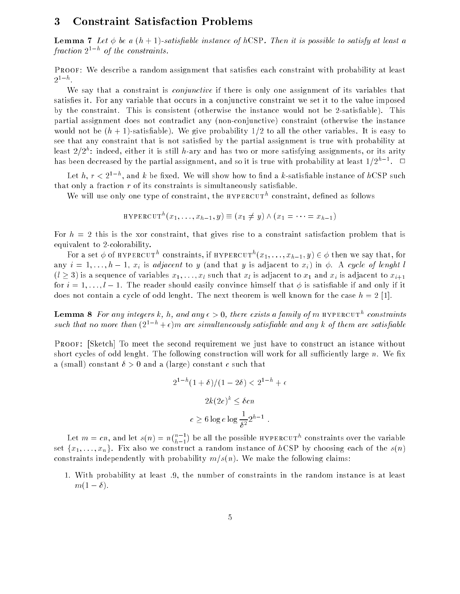### <sup>3</sup> Constraint Satisfaction Problems

**Lemma 7** Let  $\phi$  be a  $(h + 1)$ -satisfiable instance of hCSP. Then it is possible to satisfy at least a  $fraction$   $2^+$   $\degree$   $\degree$  of the constraints.

PROOF: We describe a random assignment that satisfies each constraint with probability at least  $2^{1-h}$ .

We say that a constraint is *conjunctive* if there is only one assignment of its variables that satisfies it. For any variable that occurs in a conjunctive constraint we set it to the value imposed by the constraint. This is consistent (otherwise the instance would not be 2-satisfiable). This partial assignment does not contradict any (non-conjunctive) constraint (otherwise the instance would not be  $(h + 1)$ -satisfiable). We give probability  $1/2$  to all the other variables. It is easy to see that any constraint that is not satisfied by the partial assignment is true with probability at least 2/2  $\degree$  indeed, either it is still  $h$ -ary and has two or more satisfying assignments, or its arity has been decreased by the partial assignment, and so it is true with probability at least  $1/Z^{\gamma-1}$ .  $\Box$ 

Let  $n$ ,  $r < 2^\circ$  ), and  $\kappa$  be fixed. We will show how to find a  $\kappa$ -satisfiable instance of  $n$ CSP such that only a fraction  $r$  of its constraints is simultaneously satisfiable.

We will use only one type of constraint, the hypercut<sup>h</sup> constraint, dened as follows

$$
\text{HYPERCUT}^h(x_1,\ldots,x_{h-1},y) \equiv (x_1 \neq y) \land (x_1 = \cdots = x_{h-1})
$$

For  $h = 2$  this is the xor constraint, that gives rise to a constraint satisfaction problem that is equivalent to 2-colorability.

For a set  $\varphi$  of hypercuth constraints, if hypercuth  $(x_1,\ldots,x_{h-1},y)\in\varphi$  then we say that, for any  $i = 1, \ldots, h-1$ ,  $x_i$  is adjacent to y (and that y is adjacent to  $x_i$ ) in  $\phi$ . A cycle of lenght l  $(l \geq 3)$  is a sequence of variables  $x_1, \ldots, x_l$  such that  $x_l$  is adjacent to  $x_1$  and  $x_i$  is adjacent to  $x_{i+1}$ for  $i = 1, \ldots, l-1$ . The reader should easily convince himself that  $\phi$  is satisfiable if and only if it does not contain a cycle of odd lenght. The next theorem is well known for the case  $h = 2$  [1].

**Lemma 8** For any integers  $\kappa$ ,  $n$ , and any  $\epsilon > 0$ , there exists a family of m hypercuth constraints such that no more than  $(2^{1-h} + \epsilon)m$  are simultaneously satisfiable and any k of them are satisfiable

Proof: [Sketch] To meet the second requirement we just have to construct an istance without short cycles of odd lenght. The following construction will work for all sufficiently large  $n$ . We fix a (small) constant  $\delta > 0$  and a (large) constant c such that

$$
2^{1-h}(1+\delta)/(1-2\delta) < 2^{1-h} + \epsilon
$$
\n
$$
2k(2c)^k \le \delta cn
$$
\n
$$
c \ge 6 \log e \log \frac{1}{\delta^2} 2^{h-1} \ .
$$

Let <sup>m</sup> = cn, and let s(n) = <sup>n</sup>  $(n-1)$ ) be all the possible  $HYPERCUT^h$  constraints over the variable set  $\{x_1, \ldots, x_n\}$ . Fix also we construct a random instance of hCSP by choosing each of the  $s(n)$ constraints independently with probability  $m/s(n)$ . We make the following claims:

1. With probability at least :9, the number of constraints in the random instance is at least  $m(1 - \delta)$ .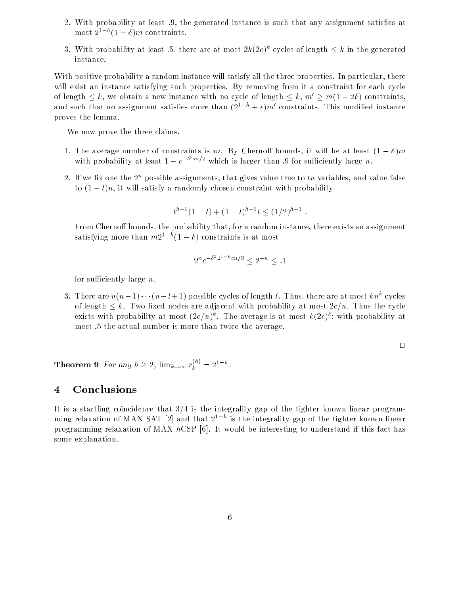- 2. With probability at least 9, the generated instance is such that any assignment satisfies at  $\max_{\mathcal{I}} \mathcal{I} = \min_{\mathcal{I}} \mathcal{I} + \mathcal{I}$  *m* constraints.
- 3. With probability at least .5, there are at most  $2\kappa(2c)^\gamma$  cycles of length  $\leq \kappa$  in the generated instance.

With positive probability a random instance will satisfy all the three properties. In particular, there will exist an instance satisfying such properties. By removing from it a constraint for each cycle of length  $\leq k$ , we obtain a new instance with no cycle of length  $\leq k$ ,  $m' \geq m(1 - 2\delta)$  constraints. and such that no assignment satisfies more than  $(2^++\epsilon) m$  constraints. This modified instance proves the lemma.

We now prove the three claims.

- 1. The average number of constraints is m. By Chernoff bounds, it will be at least  $(1 \delta)m$ with probability at least  $1-e^{-\sigma^2 m/2}$  which is larger than .9 for sufficiently large n.
- $\,$   $\,$  1. If we fix one the  $\,$  possible assignments, that gives value true to  $\,$  tn variables, and value false to  $(1-t)n$ , it will satisfy a randomly chosen constraint with probability

$$
t^{h-1}(1-t) + (1-t)^{h-1}t \le (1/2)^{h-1}
$$

From Chernoff bounds, the probability that, for a random instance, there exists an assignment satisfying more than  $mz^2$  and  $t=0$  ) constraints is at most

$$
2^n e^{-\delta^2 2^{1-h} cn/3} \le 2^{-n} \le .1
$$

for sufficiently large  $n$ .

3. There are  $n(n-1)\cdots(n-l+1)$  possible cycles of length l. Thus, there are at most kn<sup>o</sup> cycles of length  $\leq k$ . Two fixed nodes are adjacent with probability at most  $2c/n$ . Thus the cycle exists with probability at most (zc/n)". The average is at most  $\kappa(ze)$ "; with probability at most :5 the actual number is more than twice the average.

 $\Box$ 

**Theorem 9** For any  $h \geq 2$ ,  $\lim_{k \to \infty} r_k^{\gamma, \gamma} = 2^{1-h}$ .

# <sup>4</sup> Conclusions

It is a startling coincidence that  $3/4$  is the integrality gap of the tighter known linear program- $\min$ g relaxation of MAA SAT [2] and that 21 h is the integrality gap of the tighter known linear programming relaxation of MAX  $hCSP$  [6]. It would be interesting to understand if this fact has some explanation.